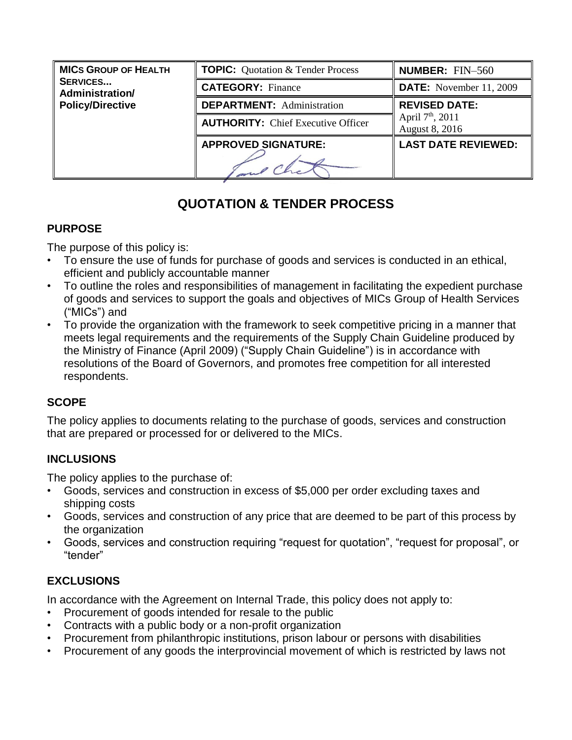| <b>MICS GROUP OF HEALTH</b>        | <b>TOPIC:</b> Quotation & Tender Process  | <b>NUMBER: FIN-560</b>                         |
|------------------------------------|-------------------------------------------|------------------------------------------------|
| <b>SERVICES</b><br>Administration/ | <b>CATEGORY: Finance</b>                  | <b>DATE:</b> November 11, 2009                 |
| <b>Policy/Directive</b>            | <b>DEPARTMENT:</b> Administration         | <b>REVISED DATE:</b>                           |
|                                    | <b>AUTHORITY:</b> Chief Executive Officer | April 7 <sup>th</sup> , 2011<br>August 8, 2016 |
|                                    | <b>APPROVED SIGNATURE:</b>                | <b>LAST DATE REVIEWED:</b>                     |
|                                    |                                           |                                                |

# **QUOTATION & TENDER PROCESS**

## **PURPOSE**

The purpose of this policy is:

- To ensure the use of funds for purchase of goods and services is conducted in an ethical, efficient and publicly accountable manner
- To outline the roles and responsibilities of management in facilitating the expedient purchase of goods and services to support the goals and objectives of MICs Group of Health Services ("MICs") and
- To provide the organization with the framework to seek competitive pricing in a manner that meets legal requirements and the requirements of the Supply Chain Guideline produced by the Ministry of Finance (April 2009) ("Supply Chain Guideline") is in accordance with resolutions of the Board of Governors, and promotes free competition for all interested respondents.

# **SCOPE**

The policy applies to documents relating to the purchase of goods, services and construction that are prepared or processed for or delivered to the MICs.

# **INCLUSIONS**

The policy applies to the purchase of:

- Goods, services and construction in excess of \$5,000 per order excluding taxes and shipping costs
- Goods, services and construction of any price that are deemed to be part of this process by the organization
- Goods, services and construction requiring "request for quotation", "request for proposal", or "tender"

# **EXCLUSIONS**

In accordance with the Agreement on Internal Trade, this policy does not apply to:

- Procurement of goods intended for resale to the public
- Contracts with a public body or a non-profit organization
- Procurement from philanthropic institutions, prison labour or persons with disabilities
- Procurement of any goods the interprovincial movement of which is restricted by laws not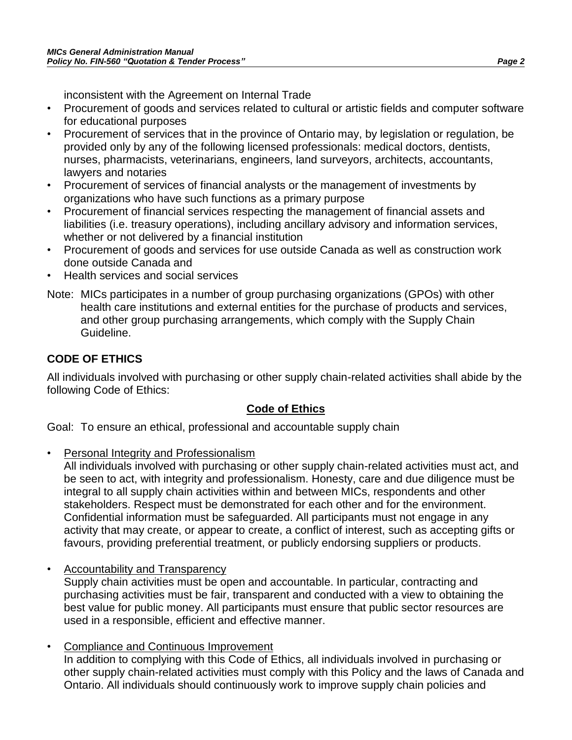inconsistent with the Agreement on Internal Trade

- Procurement of goods and services related to cultural or artistic fields and computer software for educational purposes
- Procurement of services that in the province of Ontario may, by legislation or regulation, be provided only by any of the following licensed professionals: medical doctors, dentists, nurses, pharmacists, veterinarians, engineers, land surveyors, architects, accountants, lawyers and notaries
- Procurement of services of financial analysts or the management of investments by organizations who have such functions as a primary purpose
- Procurement of financial services respecting the management of financial assets and liabilities (i.e. treasury operations), including ancillary advisory and information services, whether or not delivered by a financial institution
- Procurement of goods and services for use outside Canada as well as construction work done outside Canada and
- Health services and social services
- Note: MICs participates in a number of group purchasing organizations (GPOs) with other health care institutions and external entities for the purchase of products and services, and other group purchasing arrangements, which comply with the Supply Chain Guideline.

# **CODE OF ETHICS**

All individuals involved with purchasing or other supply chain-related activities shall abide by the following Code of Ethics:

## **Code of Ethics**

Goal: To ensure an ethical, professional and accountable supply chain

• Personal Integrity and Professionalism

All individuals involved with purchasing or other supply chain-related activities must act, and be seen to act, with integrity and professionalism. Honesty, care and due diligence must be integral to all supply chain activities within and between MICs, respondents and other stakeholders. Respect must be demonstrated for each other and for the environment. Confidential information must be safeguarded. All participants must not engage in any activity that may create, or appear to create, a conflict of interest, such as accepting gifts or favours, providing preferential treatment, or publicly endorsing suppliers or products.

• Accountability and Transparency

Supply chain activities must be open and accountable. In particular, contracting and purchasing activities must be fair, transparent and conducted with a view to obtaining the best value for public money. All participants must ensure that public sector resources are used in a responsible, efficient and effective manner.

• Compliance and Continuous Improvement In addition to complying with this Code of Ethics, all individuals involved in purchasing or other supply chain-related activities must comply with this Policy and the laws of Canada and Ontario. All individuals should continuously work to improve supply chain policies and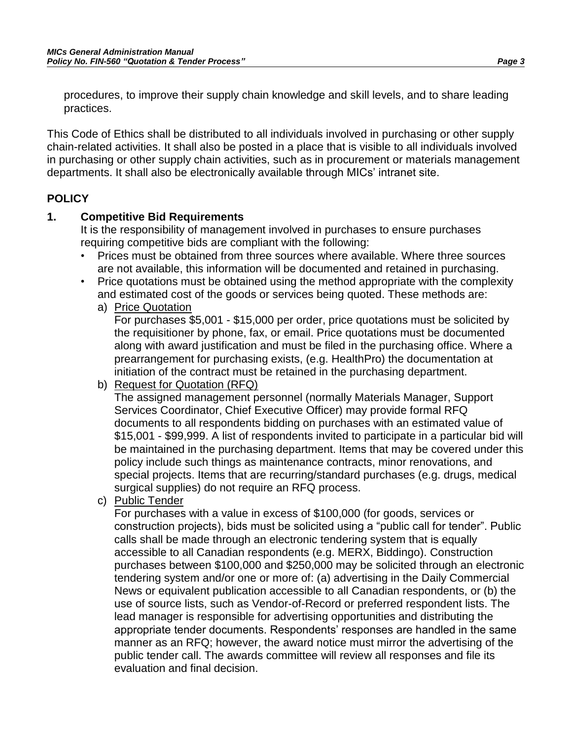procedures, to improve their supply chain knowledge and skill levels, and to share leading practices.

This Code of Ethics shall be distributed to all individuals involved in purchasing or other supply chain-related activities. It shall also be posted in a place that is visible to all individuals involved in purchasing or other supply chain activities, such as in procurement or materials management departments. It shall also be electronically available through MICs' intranet site.

#### **POLICY**

#### **1. Competitive Bid Requirements**

It is the responsibility of management involved in purchases to ensure purchases requiring competitive bids are compliant with the following:

- Prices must be obtained from three sources where available. Where three sources are not available, this information will be documented and retained in purchasing.
- Price quotations must be obtained using the method appropriate with the complexity and estimated cost of the goods or services being quoted. These methods are:
	- a) Price Quotation

For purchases \$5,001 - \$15,000 per order, price quotations must be solicited by the requisitioner by phone, fax, or email. Price quotations must be documented along with award justification and must be filed in the purchasing office. Where a prearrangement for purchasing exists, (e.g. HealthPro) the documentation at initiation of the contract must be retained in the purchasing department.

b) Request for Quotation (RFQ)

The assigned management personnel (normally Materials Manager, Support Services Coordinator, Chief Executive Officer) may provide formal RFQ documents to all respondents bidding on purchases with an estimated value of \$15,001 - \$99,999. A list of respondents invited to participate in a particular bid will be maintained in the purchasing department. Items that may be covered under this policy include such things as maintenance contracts, minor renovations, and special projects. Items that are recurring/standard purchases (e.g. drugs, medical surgical supplies) do not require an RFQ process.

c) Public Tender

For purchases with a value in excess of \$100,000 (for goods, services or construction projects), bids must be solicited using a "public call for tender". Public calls shall be made through an electronic tendering system that is equally accessible to all Canadian respondents (e.g. MERX, Biddingo). Construction purchases between \$100,000 and \$250,000 may be solicited through an electronic tendering system and/or one or more of: (a) advertising in the Daily Commercial News or equivalent publication accessible to all Canadian respondents, or (b) the use of source lists, such as Vendor-of-Record or preferred respondent lists. The lead manager is responsible for advertising opportunities and distributing the appropriate tender documents. Respondents' responses are handled in the same manner as an RFQ; however, the award notice must mirror the advertising of the public tender call. The awards committee will review all responses and file its evaluation and final decision.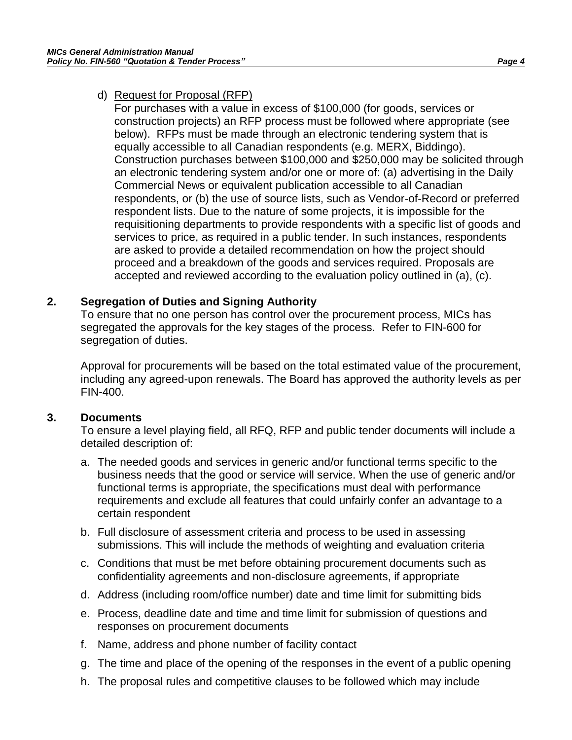### d) Request for Proposal (RFP)

For purchases with a value in excess of \$100,000 (for goods, services or construction projects) an RFP process must be followed where appropriate (see below). RFPs must be made through an electronic tendering system that is equally accessible to all Canadian respondents (e.g. MERX, Biddingo). Construction purchases between \$100,000 and \$250,000 may be solicited through an electronic tendering system and/or one or more of: (a) advertising in the Daily Commercial News or equivalent publication accessible to all Canadian respondents, or (b) the use of source lists, such as Vendor-of-Record or preferred respondent lists. Due to the nature of some projects, it is impossible for the requisitioning departments to provide respondents with a specific list of goods and services to price, as required in a public tender. In such instances, respondents are asked to provide a detailed recommendation on how the project should proceed and a breakdown of the goods and services required. Proposals are accepted and reviewed according to the evaluation policy outlined in (a), (c).

#### **2. Segregation of Duties and Signing Authority**

To ensure that no one person has control over the procurement process, MICs has segregated the approvals for the key stages of the process. Refer to FIN-600 for segregation of duties.

Approval for procurements will be based on the total estimated value of the procurement, including any agreed-upon renewals. The Board has approved the authority levels as per FIN-400.

#### **3. Documents**

To ensure a level playing field, all RFQ, RFP and public tender documents will include a detailed description of:

- a. The needed goods and services in generic and/or functional terms specific to the business needs that the good or service will service. When the use of generic and/or functional terms is appropriate, the specifications must deal with performance requirements and exclude all features that could unfairly confer an advantage to a certain respondent
- b. Full disclosure of assessment criteria and process to be used in assessing submissions. This will include the methods of weighting and evaluation criteria
- c. Conditions that must be met before obtaining procurement documents such as confidentiality agreements and non-disclosure agreements, if appropriate
- d. Address (including room/office number) date and time limit for submitting bids
- e. Process, deadline date and time and time limit for submission of questions and responses on procurement documents
- f. Name, address and phone number of facility contact
- g. The time and place of the opening of the responses in the event of a public opening
- h. The proposal rules and competitive clauses to be followed which may include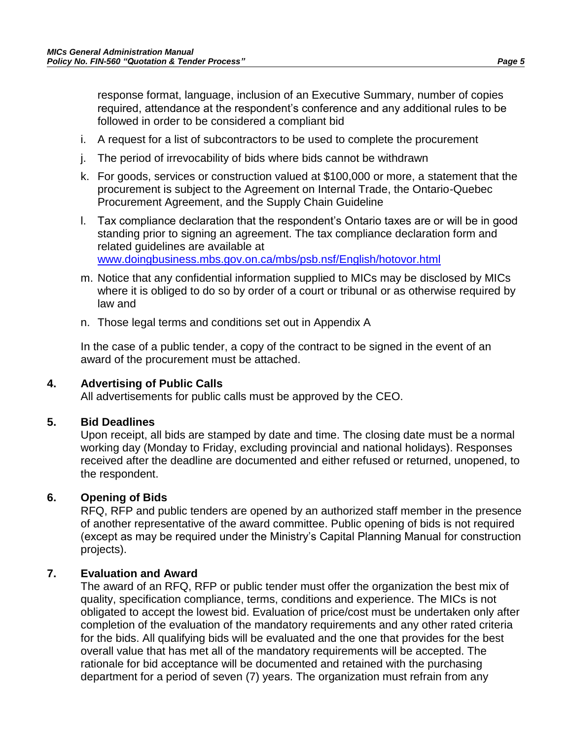response format, language, inclusion of an Executive Summary, number of copies required, attendance at the respondent's conference and any additional rules to be followed in order to be considered a compliant bid

- i. A request for a list of subcontractors to be used to complete the procurement
- j. The period of irrevocability of bids where bids cannot be withdrawn
- k. For goods, services or construction valued at \$100,000 or more, a statement that the procurement is subject to the Agreement on Internal Trade, the Ontario-Quebec Procurement Agreement, and the Supply Chain Guideline
- l. Tax compliance declaration that the respondent's Ontario taxes are or will be in good standing prior to signing an agreement. The tax compliance declaration form and related guidelines are available at [www.doingbusiness.mbs.gov.on.ca/mbs/psb.nsf/English/hotovor.html](http://www.doingbusiness.mbs.gov.on.ca/mbs/psb.nsf/English/hotovor.html)
- m. Notice that any confidential information supplied to MICs may be disclosed by MICs where it is obliged to do so by order of a court or tribunal or as otherwise required by law and
- n. Those legal terms and conditions set out in Appendix A

In the case of a public tender, a copy of the contract to be signed in the event of an award of the procurement must be attached.

### **4. Advertising of Public Calls**

All advertisements for public calls must be approved by the CEO.

#### **5. Bid Deadlines**

Upon receipt, all bids are stamped by date and time. The closing date must be a normal working day (Monday to Friday, excluding provincial and national holidays). Responses received after the deadline are documented and either refused or returned, unopened, to the respondent.

### **6. Opening of Bids**

RFQ, RFP and public tenders are opened by an authorized staff member in the presence of another representative of the award committee. Public opening of bids is not required (except as may be required under the Ministry's Capital Planning Manual for construction projects).

### **7. Evaluation and Award**

The award of an RFQ, RFP or public tender must offer the organization the best mix of quality, specification compliance, terms, conditions and experience. The MICs is not obligated to accept the lowest bid. Evaluation of price/cost must be undertaken only after completion of the evaluation of the mandatory requirements and any other rated criteria for the bids. All qualifying bids will be evaluated and the one that provides for the best overall value that has met all of the mandatory requirements will be accepted. The rationale for bid acceptance will be documented and retained with the purchasing department for a period of seven (7) years. The organization must refrain from any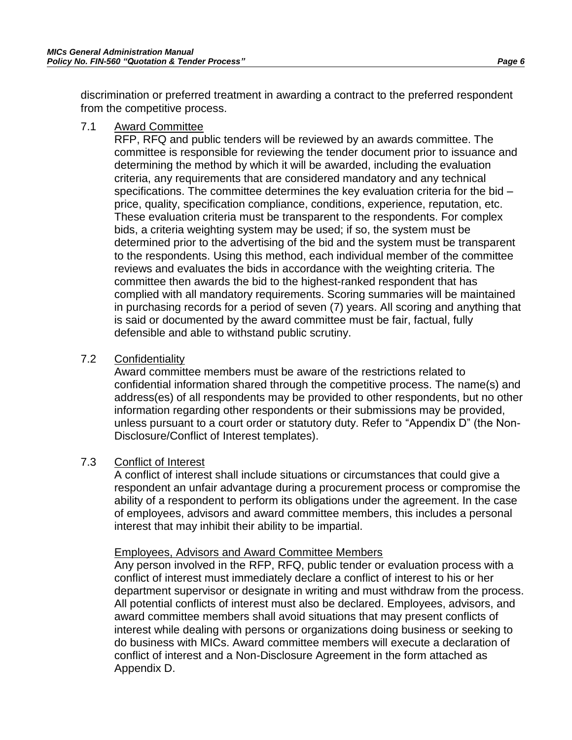discrimination or preferred treatment in awarding a contract to the preferred respondent from the competitive process.

#### 7.1 Award Committee

RFP, RFQ and public tenders will be reviewed by an awards committee. The committee is responsible for reviewing the tender document prior to issuance and determining the method by which it will be awarded, including the evaluation criteria, any requirements that are considered mandatory and any technical specifications. The committee determines the key evaluation criteria for the bid – price, quality, specification compliance, conditions, experience, reputation, etc. These evaluation criteria must be transparent to the respondents. For complex bids, a criteria weighting system may be used; if so, the system must be determined prior to the advertising of the bid and the system must be transparent to the respondents. Using this method, each individual member of the committee reviews and evaluates the bids in accordance with the weighting criteria. The committee then awards the bid to the highest-ranked respondent that has complied with all mandatory requirements. Scoring summaries will be maintained in purchasing records for a period of seven (7) years. All scoring and anything that is said or documented by the award committee must be fair, factual, fully defensible and able to withstand public scrutiny.

#### 7.2 Confidentiality

Award committee members must be aware of the restrictions related to confidential information shared through the competitive process. The name(s) and address(es) of all respondents may be provided to other respondents, but no other information regarding other respondents or their submissions may be provided, unless pursuant to a court order or statutory duty. Refer to "Appendix D" (the Non-Disclosure/Conflict of Interest templates).

### 7.3 Conflict of Interest

A conflict of interest shall include situations or circumstances that could give a respondent an unfair advantage during a procurement process or compromise the ability of a respondent to perform its obligations under the agreement. In the case of employees, advisors and award committee members, this includes a personal interest that may inhibit their ability to be impartial.

#### Employees, Advisors and Award Committee Members

Any person involved in the RFP, RFQ, public tender or evaluation process with a conflict of interest must immediately declare a conflict of interest to his or her department supervisor or designate in writing and must withdraw from the process. All potential conflicts of interest must also be declared. Employees, advisors, and award committee members shall avoid situations that may present conflicts of interest while dealing with persons or organizations doing business or seeking to do business with MICs. Award committee members will execute a declaration of conflict of interest and a Non-Disclosure Agreement in the form attached as Appendix D.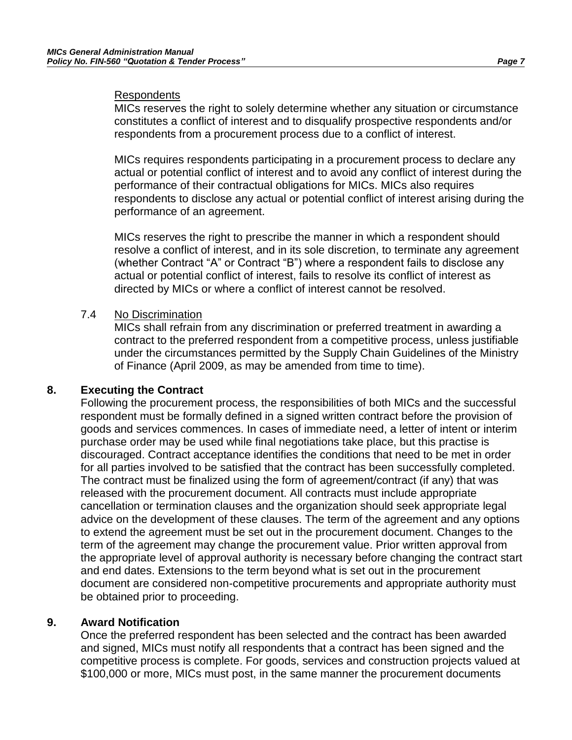#### **Respondents**

MICs reserves the right to solely determine whether any situation or circumstance constitutes a conflict of interest and to disqualify prospective respondents and/or respondents from a procurement process due to a conflict of interest.

MICs requires respondents participating in a procurement process to declare any actual or potential conflict of interest and to avoid any conflict of interest during the performance of their contractual obligations for MICs. MICs also requires respondents to disclose any actual or potential conflict of interest arising during the performance of an agreement.

MICs reserves the right to prescribe the manner in which a respondent should resolve a conflict of interest, and in its sole discretion, to terminate any agreement (whether Contract "A" or Contract "B") where a respondent fails to disclose any actual or potential conflict of interest, fails to resolve its conflict of interest as directed by MICs or where a conflict of interest cannot be resolved.

#### 7.4 No Discrimination

MICs shall refrain from any discrimination or preferred treatment in awarding a contract to the preferred respondent from a competitive process, unless justifiable under the circumstances permitted by the Supply Chain Guidelines of the Ministry of Finance (April 2009, as may be amended from time to time).

#### **8. Executing the Contract**

Following the procurement process, the responsibilities of both MICs and the successful respondent must be formally defined in a signed written contract before the provision of goods and services commences. In cases of immediate need, a letter of intent or interim purchase order may be used while final negotiations take place, but this practise is discouraged. Contract acceptance identifies the conditions that need to be met in order for all parties involved to be satisfied that the contract has been successfully completed. The contract must be finalized using the form of agreement/contract (if any) that was released with the procurement document. All contracts must include appropriate cancellation or termination clauses and the organization should seek appropriate legal advice on the development of these clauses. The term of the agreement and any options to extend the agreement must be set out in the procurement document. Changes to the term of the agreement may change the procurement value. Prior written approval from the appropriate level of approval authority is necessary before changing the contract start and end dates. Extensions to the term beyond what is set out in the procurement document are considered non-competitive procurements and appropriate authority must be obtained prior to proceeding.

#### **9. Award Notification**

Once the preferred respondent has been selected and the contract has been awarded and signed, MICs must notify all respondents that a contract has been signed and the competitive process is complete. For goods, services and construction projects valued at \$100,000 or more, MICs must post, in the same manner the procurement documents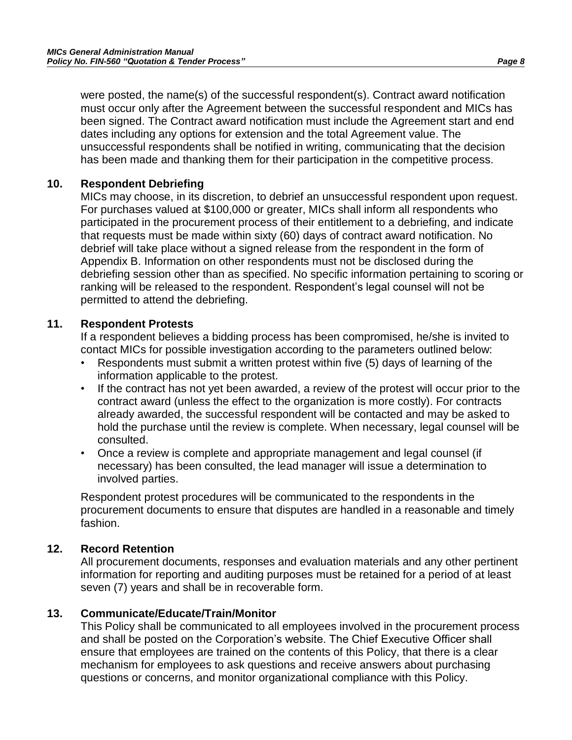were posted, the name(s) of the successful respondent(s). Contract award notification must occur only after the Agreement between the successful respondent and MICs has been signed. The Contract award notification must include the Agreement start and end dates including any options for extension and the total Agreement value. The unsuccessful respondents shall be notified in writing, communicating that the decision has been made and thanking them for their participation in the competitive process.

### **10. Respondent Debriefing**

MICs may choose, in its discretion, to debrief an unsuccessful respondent upon request. For purchases valued at \$100,000 or greater, MICs shall inform all respondents who participated in the procurement process of their entitlement to a debriefing, and indicate that requests must be made within sixty (60) days of contract award notification. No debrief will take place without a signed release from the respondent in the form of Appendix B. Information on other respondents must not be disclosed during the debriefing session other than as specified. No specific information pertaining to scoring or ranking will be released to the respondent. Respondent's legal counsel will not be permitted to attend the debriefing.

### **11. Respondent Protests**

If a respondent believes a bidding process has been compromised, he/she is invited to contact MICs for possible investigation according to the parameters outlined below:

- Respondents must submit a written protest within five (5) days of learning of the information applicable to the protest.
- If the contract has not yet been awarded, a review of the protest will occur prior to the contract award (unless the effect to the organization is more costly). For contracts already awarded, the successful respondent will be contacted and may be asked to hold the purchase until the review is complete. When necessary, legal counsel will be consulted.
- Once a review is complete and appropriate management and legal counsel (if necessary) has been consulted, the lead manager will issue a determination to involved parties.

Respondent protest procedures will be communicated to the respondents in the procurement documents to ensure that disputes are handled in a reasonable and timely fashion.

## **12. Record Retention**

All procurement documents, responses and evaluation materials and any other pertinent information for reporting and auditing purposes must be retained for a period of at least seven (7) years and shall be in recoverable form.

## **13. Communicate/Educate/Train/Monitor**

This Policy shall be communicated to all employees involved in the procurement process and shall be posted on the Corporation's website. The Chief Executive Officer shall ensure that employees are trained on the contents of this Policy, that there is a clear mechanism for employees to ask questions and receive answers about purchasing questions or concerns, and monitor organizational compliance with this Policy.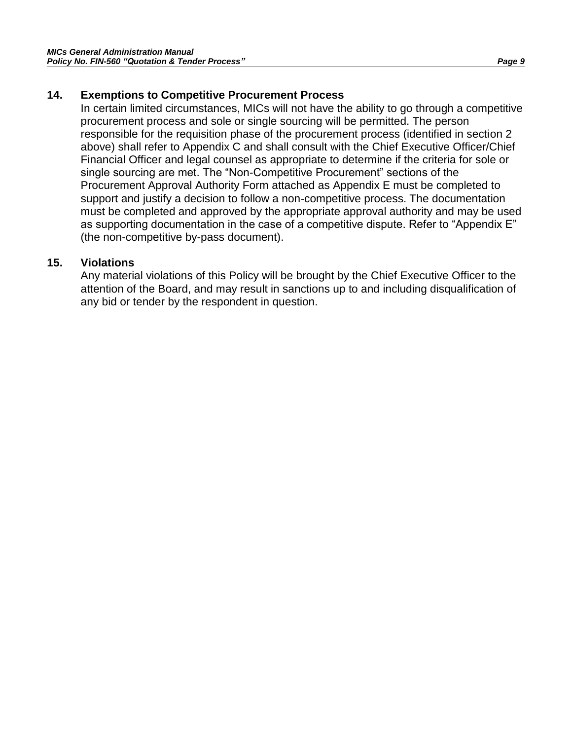#### **14. Exemptions to Competitive Procurement Process**

In certain limited circumstances, MICs will not have the ability to go through a competitive procurement process and sole or single sourcing will be permitted. The person responsible for the requisition phase of the procurement process (identified in section 2 above) shall refer to Appendix C and shall consult with the Chief Executive Officer/Chief Financial Officer and legal counsel as appropriate to determine if the criteria for sole or single sourcing are met. The "Non-Competitive Procurement" sections of the Procurement Approval Authority Form attached as Appendix E must be completed to support and justify a decision to follow a non-competitive process. The documentation must be completed and approved by the appropriate approval authority and may be used as supporting documentation in the case of a competitive dispute. Refer to "Appendix E" (the non-competitive by-pass document).

#### **15. Violations**

Any material violations of this Policy will be brought by the Chief Executive Officer to the attention of the Board, and may result in sanctions up to and including disqualification of any bid or tender by the respondent in question.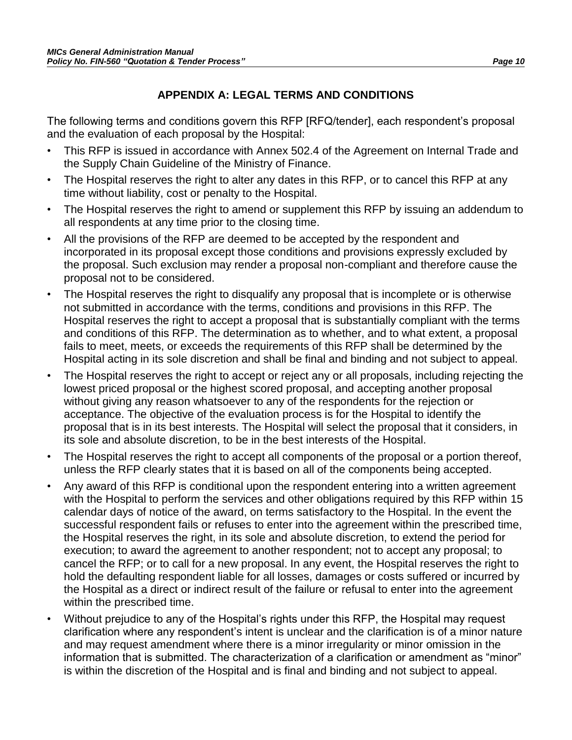## **APPENDIX A: LEGAL TERMS AND CONDITIONS**

The following terms and conditions govern this RFP [RFQ/tender], each respondent's proposal and the evaluation of each proposal by the Hospital:

- This RFP is issued in accordance with Annex 502.4 of the Agreement on Internal Trade and the Supply Chain Guideline of the Ministry of Finance.
- The Hospital reserves the right to alter any dates in this RFP, or to cancel this RFP at any time without liability, cost or penalty to the Hospital.
- The Hospital reserves the right to amend or supplement this RFP by issuing an addendum to all respondents at any time prior to the closing time.
- All the provisions of the RFP are deemed to be accepted by the respondent and incorporated in its proposal except those conditions and provisions expressly excluded by the proposal. Such exclusion may render a proposal non-compliant and therefore cause the proposal not to be considered.
- The Hospital reserves the right to disqualify any proposal that is incomplete or is otherwise not submitted in accordance with the terms, conditions and provisions in this RFP. The Hospital reserves the right to accept a proposal that is substantially compliant with the terms and conditions of this RFP. The determination as to whether, and to what extent, a proposal fails to meet, meets, or exceeds the requirements of this RFP shall be determined by the Hospital acting in its sole discretion and shall be final and binding and not subject to appeal.
- The Hospital reserves the right to accept or reject any or all proposals, including rejecting the lowest priced proposal or the highest scored proposal, and accepting another proposal without giving any reason whatsoever to any of the respondents for the rejection or acceptance. The objective of the evaluation process is for the Hospital to identify the proposal that is in its best interests. The Hospital will select the proposal that it considers, in its sole and absolute discretion, to be in the best interests of the Hospital.
- The Hospital reserves the right to accept all components of the proposal or a portion thereof, unless the RFP clearly states that it is based on all of the components being accepted.
- Any award of this RFP is conditional upon the respondent entering into a written agreement with the Hospital to perform the services and other obligations required by this RFP within 15 calendar days of notice of the award, on terms satisfactory to the Hospital. In the event the successful respondent fails or refuses to enter into the agreement within the prescribed time, the Hospital reserves the right, in its sole and absolute discretion, to extend the period for execution; to award the agreement to another respondent; not to accept any proposal; to cancel the RFP; or to call for a new proposal. In any event, the Hospital reserves the right to hold the defaulting respondent liable for all losses, damages or costs suffered or incurred by the Hospital as a direct or indirect result of the failure or refusal to enter into the agreement within the prescribed time.
- Without prejudice to any of the Hospital's rights under this RFP, the Hospital may request clarification where any respondent's intent is unclear and the clarification is of a minor nature and may request amendment where there is a minor irregularity or minor omission in the information that is submitted. The characterization of a clarification or amendment as "minor" is within the discretion of the Hospital and is final and binding and not subject to appeal.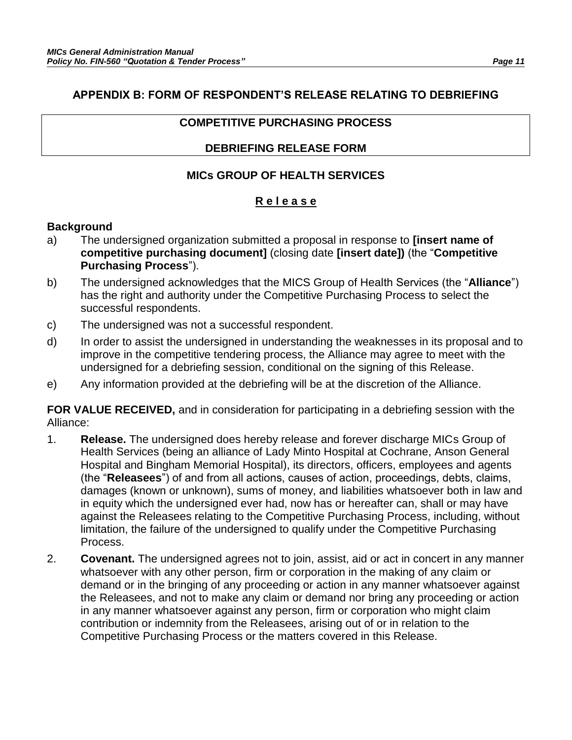### **APPENDIX B: FORM OF RESPONDENT'S RELEASE RELATING TO DEBRIEFING**

### **COMPETITIVE PURCHASING PROCESS**

### **DEBRIEFING RELEASE FORM**

## **MICs GROUP OF HEALTH SERVICES**

### **R e l e a s e**

### **Background**

- a) The undersigned organization submitted a proposal in response to **[insert name of competitive purchasing document]** (closing date **[insert date])** (the "**Competitive Purchasing Process**").
- b) The undersigned acknowledges that the MICS Group of Health Services (the "**Alliance**") has the right and authority under the Competitive Purchasing Process to select the successful respondents.
- c) The undersigned was not a successful respondent.
- d) In order to assist the undersigned in understanding the weaknesses in its proposal and to improve in the competitive tendering process, the Alliance may agree to meet with the undersigned for a debriefing session, conditional on the signing of this Release.
- e) Any information provided at the debriefing will be at the discretion of the Alliance.

**FOR VALUE RECEIVED,** and in consideration for participating in a debriefing session with the Alliance:

- 1. **Release.** The undersigned does hereby release and forever discharge MICs Group of Health Services (being an alliance of Lady Minto Hospital at Cochrane, Anson General Hospital and Bingham Memorial Hospital), its directors, officers, employees and agents (the "**Releasees**") of and from all actions, causes of action, proceedings, debts, claims, damages (known or unknown), sums of money, and liabilities whatsoever both in law and in equity which the undersigned ever had, now has or hereafter can, shall or may have against the Releasees relating to the Competitive Purchasing Process, including, without limitation, the failure of the undersigned to qualify under the Competitive Purchasing Process.
- 2. **Covenant.** The undersigned agrees not to join, assist, aid or act in concert in any manner whatsoever with any other person, firm or corporation in the making of any claim or demand or in the bringing of any proceeding or action in any manner whatsoever against the Releasees, and not to make any claim or demand nor bring any proceeding or action in any manner whatsoever against any person, firm or corporation who might claim contribution or indemnity from the Releasees, arising out of or in relation to the Competitive Purchasing Process or the matters covered in this Release.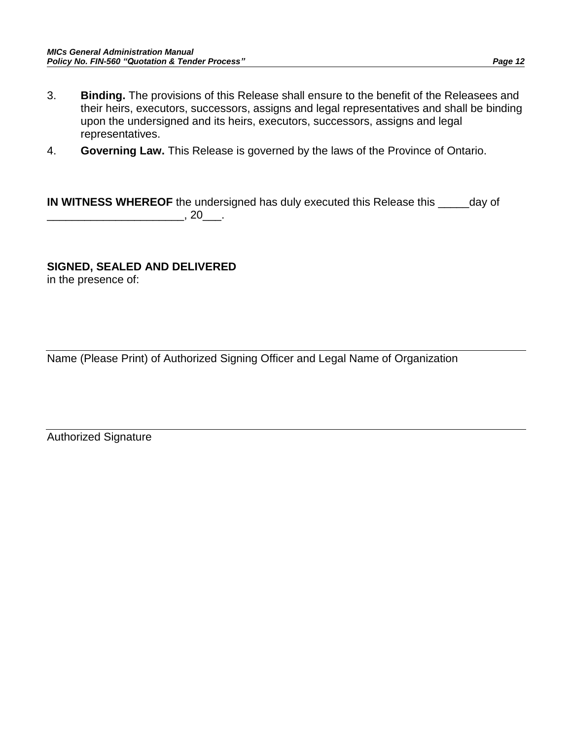- 3. **Binding.** The provisions of this Release shall ensure to the benefit of the Releasees and their heirs, executors, successors, assigns and legal representatives and shall be binding upon the undersigned and its heirs, executors, successors, assigns and legal representatives.
- 4. **Governing Law.** This Release is governed by the laws of the Province of Ontario.

**IN WITNESS WHEREOF** the undersigned has duly executed this Release this \_\_\_\_\_day of  $\overline{\phantom{a}}$ , 20 $\overline{\phantom{a}}$ .

#### **SIGNED, SEALED AND DELIVERED**

in the presence of:

Name (Please Print) of Authorized Signing Officer and Legal Name of Organization

Authorized Signature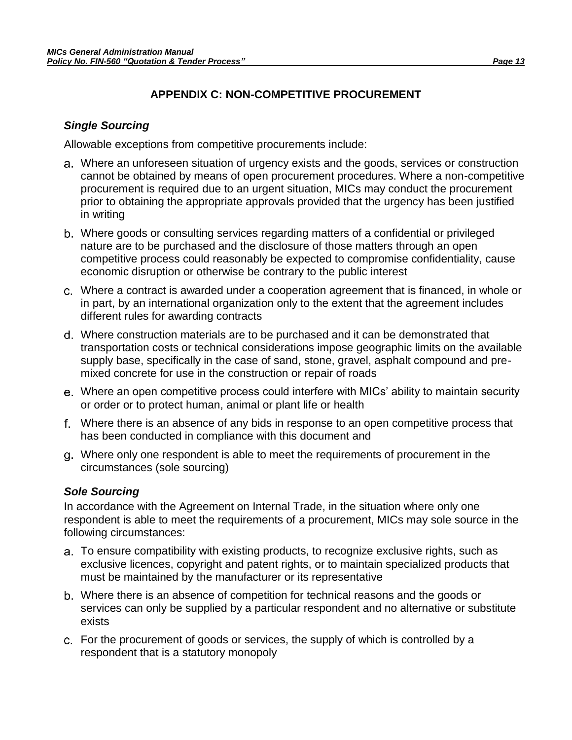## **APPENDIX C: NON-COMPETITIVE PROCUREMENT**

#### *Single Sourcing*

Allowable exceptions from competitive procurements include:

- Where an unforeseen situation of urgency exists and the goods, services or construction cannot be obtained by means of open procurement procedures. Where a non-competitive procurement is required due to an urgent situation, MICs may conduct the procurement prior to obtaining the appropriate approvals provided that the urgency has been justified in writing
- Where goods or consulting services regarding matters of a confidential or privileged nature are to be purchased and the disclosure of those matters through an open competitive process could reasonably be expected to compromise confidentiality, cause economic disruption or otherwise be contrary to the public interest
- Where a contract is awarded under a cooperation agreement that is financed, in whole or in part, by an international organization only to the extent that the agreement includes different rules for awarding contracts
- Where construction materials are to be purchased and it can be demonstrated that transportation costs or technical considerations impose geographic limits on the available supply base, specifically in the case of sand, stone, gravel, asphalt compound and premixed concrete for use in the construction or repair of roads
- Where an open competitive process could interfere with MICs' ability to maintain security or order or to protect human, animal or plant life or health
- Where there is an absence of any bids in response to an open competitive process that has been conducted in compliance with this document and
- Where only one respondent is able to meet the requirements of procurement in the circumstances (sole sourcing)

### *Sole Sourcing*

In accordance with the Agreement on Internal Trade, in the situation where only one respondent is able to meet the requirements of a procurement, MICs may sole source in the following circumstances:

- To ensure compatibility with existing products, to recognize exclusive rights, such as exclusive licences, copyright and patent rights, or to maintain specialized products that must be maintained by the manufacturer or its representative
- Where there is an absence of competition for technical reasons and the goods or services can only be supplied by a particular respondent and no alternative or substitute exists
- For the procurement of goods or services, the supply of which is controlled by a respondent that is a statutory monopoly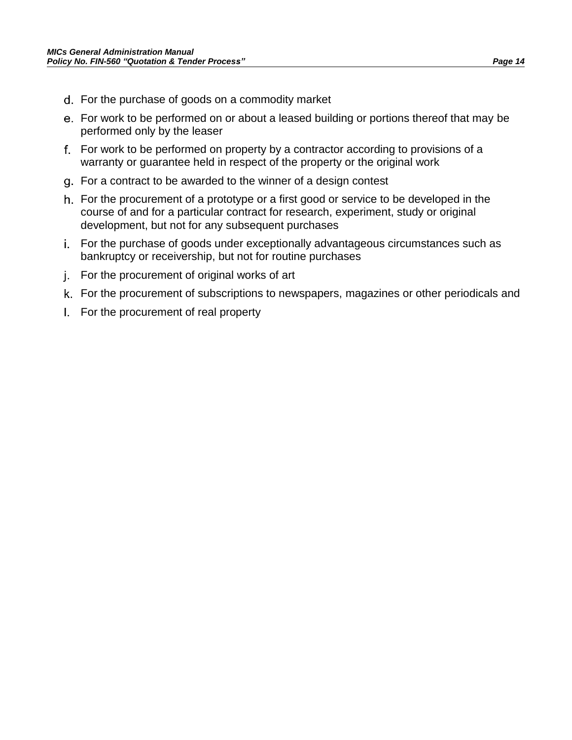- For the purchase of goods on a commodity market
- For work to be performed on or about a leased building or portions thereof that may be performed only by the leaser
- For work to be performed on property by a contractor according to provisions of a warranty or guarantee held in respect of the property or the original work
- For a contract to be awarded to the winner of a design contest
- For the procurement of a prototype or a first good or service to be developed in the course of and for a particular contract for research, experiment, study or original development, but not for any subsequent purchases
- For the purchase of goods under exceptionally advantageous circumstances such as bankruptcy or receivership, but not for routine purchases
- j. For the procurement of original works of art
- For the procurement of subscriptions to newspapers, magazines or other periodicals and
- For the procurement of real property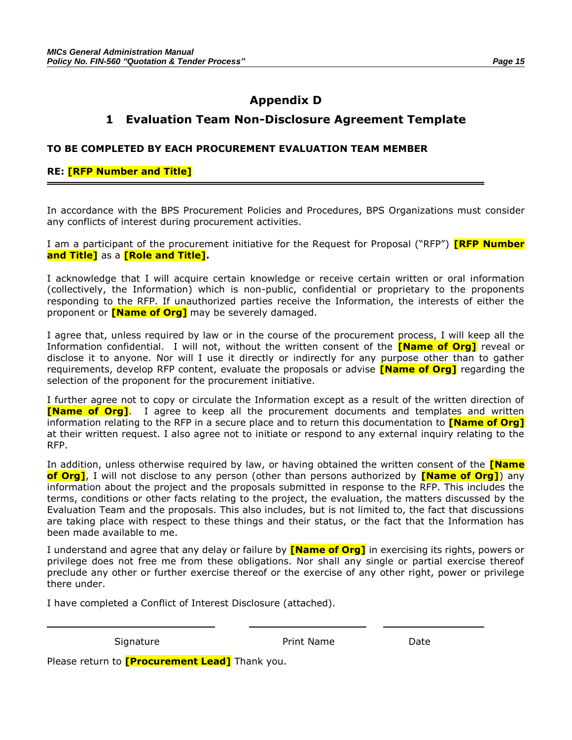## **Appendix D**

### **1 Evaluation Team Non-Disclosure Agreement Template**

#### **TO BE COMPLETED BY EACH PROCUREMENT EVALUATION TEAM MEMBER**

#### **RE: [RFP Number and Title]**

In accordance with the BPS Procurement Policies and Procedures, BPS Organizations must consider any conflicts of interest during procurement activities.

I am a participant of the procurement initiative for the Request for Proposal ("RFP") **[RFP Number and Title]** as a **[Role and Title].**

I acknowledge that I will acquire certain knowledge or receive certain written or oral information (collectively, the Information) which is non-public, confidential or proprietary to the proponents responding to the RFP. If unauthorized parties receive the Information, the interests of either the proponent or **[Name of Org]** may be severely damaged.

I agree that, unless required by law or in the course of the procurement process, I will keep all the Information confidential. I will not, without the written consent of the **[Name of Org]** reveal or disclose it to anyone. Nor will I use it directly or indirectly for any purpose other than to gather requirements, develop RFP content, evaluate the proposals or advise **[Name of Org]** regarding the selection of the proponent for the procurement initiative.

I further agree not to copy or circulate the Information except as a result of the written direction of **[Name of Org]**. I agree to keep all the procurement documents and templates and written information relating to the RFP in a secure place and to return this documentation to **[Name of Org]** at their written request. I also agree not to initiate or respond to any external inquiry relating to the RFP.

In addition, unless otherwise required by law, or having obtained the written consent of the **[Name of Org]**, I will not disclose to any person (other than persons authorized by **[Name of Org]**) any information about the project and the proposals submitted in response to the RFP. This includes the terms, conditions or other facts relating to the project, the evaluation, the matters discussed by the Evaluation Team and the proposals. This also includes, but is not limited to, the fact that discussions are taking place with respect to these things and their status, or the fact that the Information has been made available to me.

I understand and agree that any delay or failure by **[Name of Org]** in exercising its rights, powers or privilege does not free me from these obligations. Nor shall any single or partial exercise thereof preclude any other or further exercise thereof or the exercise of any other right, power or privilege there under.

I have completed a Conflict of Interest Disclosure (attached).

Signature **Print Name** Date

Please return to **[Procurement Lead]** Thank you.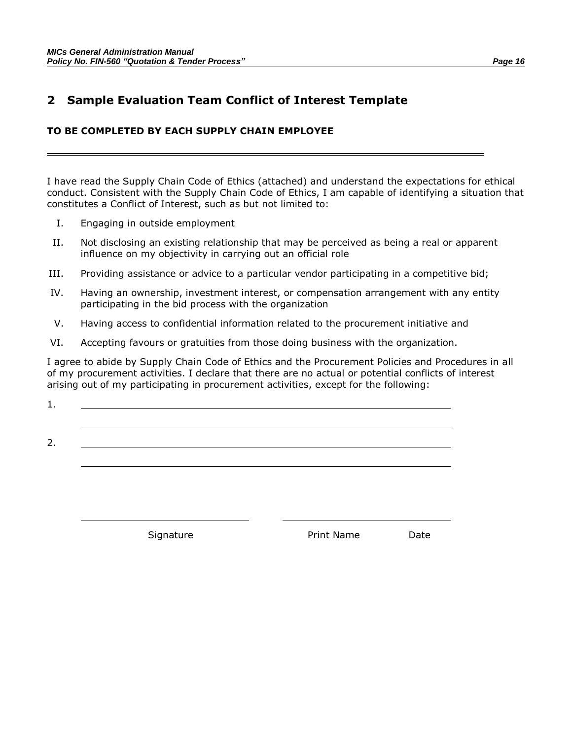## **2 Sample Evaluation Team Conflict of Interest Template**

#### **TO BE COMPLETED BY EACH SUPPLY CHAIN EMPLOYEE**

I have read the Supply Chain Code of Ethics (attached) and understand the expectations for ethical conduct. Consistent with the Supply Chain Code of Ethics, I am capable of identifying a situation that constitutes a Conflict of Interest, such as but not limited to:

- I. Engaging in outside employment
- II. Not disclosing an existing relationship that may be perceived as being a real or apparent influence on my objectivity in carrying out an official role
- III. Providing assistance or advice to a particular vendor participating in a competitive bid;
- IV. Having an ownership, investment interest, or compensation arrangement with any entity participating in the bid process with the organization
- V. Having access to confidential information related to the procurement initiative and
- VI. Accepting favours or gratuities from those doing business with the organization.

I agree to abide by Supply Chain Code of Ethics and the Procurement Policies and Procedures in all of my procurement activities. I declare that there are no actual or potential conflicts of interest arising out of my participating in procurement activities, except for the following:

1.

2.

Signature **Print Name** Date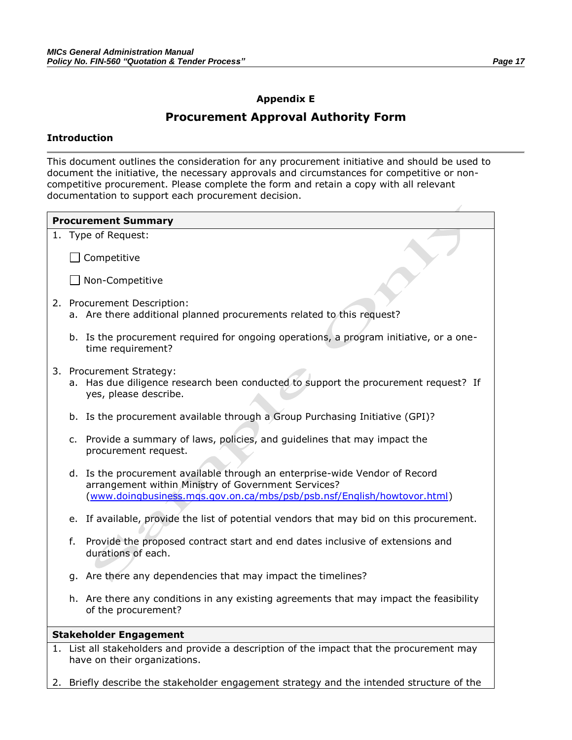#### **Appendix E**

### **Procurement Approval Authority Form**

#### **Introduction**

This document outlines the consideration for any procurement initiative and should be used to document the initiative, the necessary approvals and circumstances for competitive or noncompetitive procurement. Please complete the form and retain a copy with all relevant documentation to support each procurement decision.

| <b>Procurement Summary</b> |                               |                                                                                                                                                                                                               |  |  |  |
|----------------------------|-------------------------------|---------------------------------------------------------------------------------------------------------------------------------------------------------------------------------------------------------------|--|--|--|
|                            |                               | 1. Type of Request:                                                                                                                                                                                           |  |  |  |
|                            |                               | Competitive                                                                                                                                                                                                   |  |  |  |
|                            |                               | $\Box$ Non-Competitive                                                                                                                                                                                        |  |  |  |
|                            |                               | 2. Procurement Description:<br>a. Are there additional planned procurements related to this request?                                                                                                          |  |  |  |
|                            |                               | b. Is the procurement required for ongoing operations, a program initiative, or a one-<br>time requirement?                                                                                                   |  |  |  |
|                            |                               | 3. Procurement Strategy:<br>a. Has due diligence research been conducted to support the procurement request? If<br>yes, please describe.                                                                      |  |  |  |
|                            |                               | b. Is the procurement available through a Group Purchasing Initiative (GPI)?                                                                                                                                  |  |  |  |
|                            |                               | c. Provide a summary of laws, policies, and guidelines that may impact the<br>procurement request.                                                                                                            |  |  |  |
|                            |                               | d. Is the procurement available through an enterprise-wide Vendor of Record<br>arrangement within Ministry of Government Services?<br>(www.doingbusiness.mgs.gov.on.ca/mbs/psb/psb.nsf/English/howtovor.html) |  |  |  |
|                            |                               | e. If available, provide the list of potential vendors that may bid on this procurement.                                                                                                                      |  |  |  |
|                            | f.                            | Provide the proposed contract start and end dates inclusive of extensions and<br>durations of each.                                                                                                           |  |  |  |
|                            |                               | g. Are there any dependencies that may impact the timelines?                                                                                                                                                  |  |  |  |
|                            |                               | h. Are there any conditions in any existing agreements that may impact the feasibility<br>of the procurement?                                                                                                 |  |  |  |
|                            | <b>Stakeholder Engagement</b> |                                                                                                                                                                                                               |  |  |  |
|                            |                               | 1. List all stakeholders and provide a description of the impact that the procurement may<br>have on their organizations.                                                                                     |  |  |  |

2. Briefly describe the stakeholder engagement strategy and the intended structure of the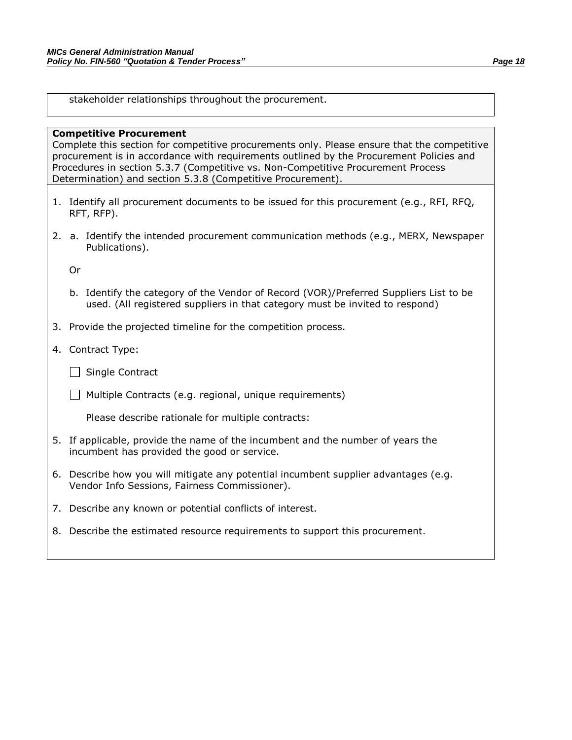stakeholder relationships throughout the procurement.

#### **Competitive Procurement**

Complete this section for competitive procurements only. Please ensure that the competitive procurement is in accordance with requirements outlined by the Procurement Policies and Procedures in section 5.3.7 (Competitive vs. Non-Competitive Procurement Process Determination) and section 5.3.8 (Competitive Procurement).

- 1. Identify all procurement documents to be issued for this procurement (e.g., RFI, RFQ, RFT, RFP).
- 2. a. Identify the intended procurement communication methods (e.g., MERX, Newspaper Publications).

Or

- b. Identify the category of the Vendor of Record (VOR)/Preferred Suppliers List to be used. (All registered suppliers in that category must be invited to respond)
- 3. Provide the projected timeline for the competition process.
- 4. Contract Type:
	- $\Box$  Single Contract
	- $\Box$  Multiple Contracts (e.g. regional, unique requirements)

Please describe rationale for multiple contracts:

- 5. If applicable, provide the name of the incumbent and the number of years the incumbent has provided the good or service.
- 6. Describe how you will mitigate any potential incumbent supplier advantages (e.g. Vendor Info Sessions, Fairness Commissioner).
- 7. Describe any known or potential conflicts of interest.
- 8. Describe the estimated resource requirements to support this procurement.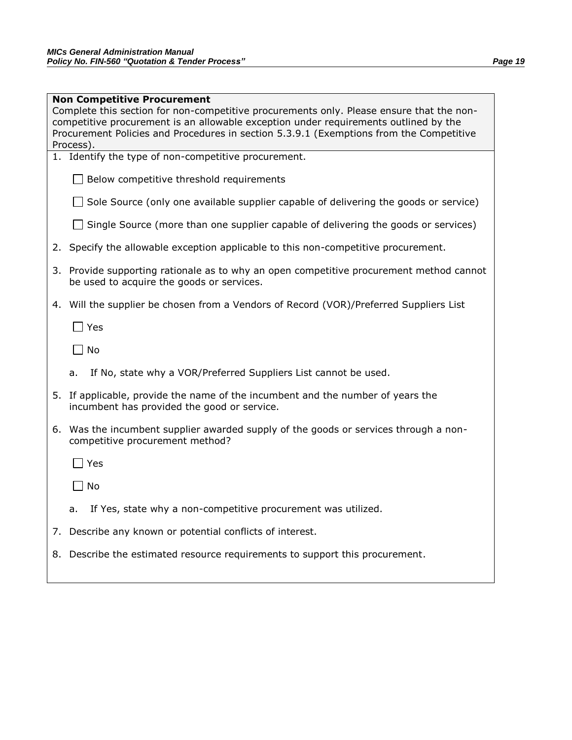|    | <b>Non Competitive Procurement</b><br>Complete this section for non-competitive procurements only. Please ensure that the non-<br>competitive procurement is an allowable exception under requirements outlined by the<br>Procurement Policies and Procedures in section 5.3.9.1 (Exemptions from the Competitive<br>Process). |  |  |  |  |
|----|--------------------------------------------------------------------------------------------------------------------------------------------------------------------------------------------------------------------------------------------------------------------------------------------------------------------------------|--|--|--|--|
|    | 1. Identify the type of non-competitive procurement.                                                                                                                                                                                                                                                                           |  |  |  |  |
|    | Below competitive threshold requirements                                                                                                                                                                                                                                                                                       |  |  |  |  |
|    | Sole Source (only one available supplier capable of delivering the goods or service)                                                                                                                                                                                                                                           |  |  |  |  |
|    | Single Source (more than one supplier capable of delivering the goods or services)                                                                                                                                                                                                                                             |  |  |  |  |
|    | 2. Specify the allowable exception applicable to this non-competitive procurement.                                                                                                                                                                                                                                             |  |  |  |  |
| 3. | Provide supporting rationale as to why an open competitive procurement method cannot<br>be used to acquire the goods or services.                                                                                                                                                                                              |  |  |  |  |
|    | 4. Will the supplier be chosen from a Vendors of Record (VOR)/Preferred Suppliers List                                                                                                                                                                                                                                         |  |  |  |  |
|    | Yes                                                                                                                                                                                                                                                                                                                            |  |  |  |  |
|    | No                                                                                                                                                                                                                                                                                                                             |  |  |  |  |
|    | If No, state why a VOR/Preferred Suppliers List cannot be used.<br>a.                                                                                                                                                                                                                                                          |  |  |  |  |
|    | 5. If applicable, provide the name of the incumbent and the number of years the<br>incumbent has provided the good or service.                                                                                                                                                                                                 |  |  |  |  |
|    | 6. Was the incumbent supplier awarded supply of the goods or services through a non-<br>competitive procurement method?                                                                                                                                                                                                        |  |  |  |  |
|    | ∃ Yes                                                                                                                                                                                                                                                                                                                          |  |  |  |  |
|    | No                                                                                                                                                                                                                                                                                                                             |  |  |  |  |
|    | If Yes, state why a non-competitive procurement was utilized.                                                                                                                                                                                                                                                                  |  |  |  |  |
|    | 7. Describe any known or potential conflicts of interest.                                                                                                                                                                                                                                                                      |  |  |  |  |
|    | 8. Describe the estimated resource requirements to support this procurement.                                                                                                                                                                                                                                                   |  |  |  |  |
|    |                                                                                                                                                                                                                                                                                                                                |  |  |  |  |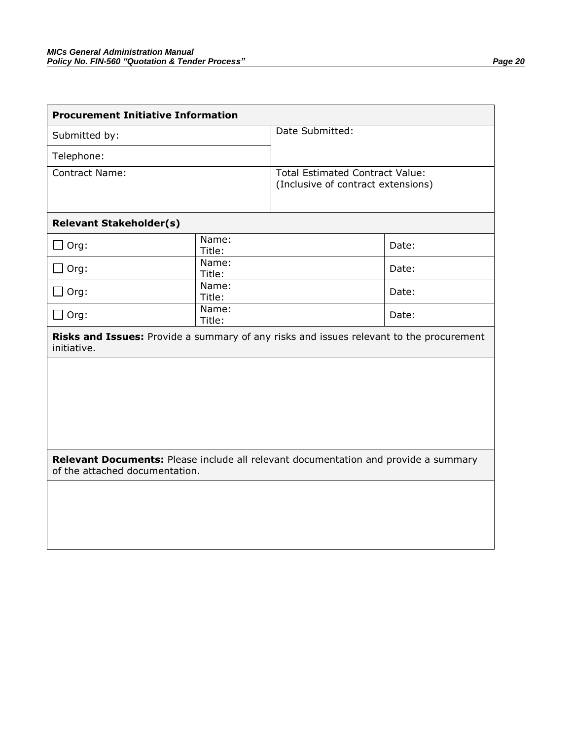| <b>Procurement Initiative Information</b>                                                                             |                 |                                                                              |       |  |  |  |
|-----------------------------------------------------------------------------------------------------------------------|-----------------|------------------------------------------------------------------------------|-------|--|--|--|
| Submitted by:                                                                                                         |                 | Date Submitted:                                                              |       |  |  |  |
| Telephone:                                                                                                            |                 |                                                                              |       |  |  |  |
| <b>Contract Name:</b>                                                                                                 |                 | <b>Total Estimated Contract Value:</b><br>(Inclusive of contract extensions) |       |  |  |  |
|                                                                                                                       |                 |                                                                              |       |  |  |  |
| <b>Relevant Stakeholder(s)</b>                                                                                        |                 |                                                                              |       |  |  |  |
| Org:                                                                                                                  | Name:<br>Title: |                                                                              | Date: |  |  |  |
| $\Box$ Org:                                                                                                           | Name:<br>Title: |                                                                              | Date: |  |  |  |
| Org:                                                                                                                  | Name:<br>Title: |                                                                              | Date: |  |  |  |
| $\square$ Org:                                                                                                        | Name:<br>Title: |                                                                              | Date: |  |  |  |
| Risks and Issues: Provide a summary of any risks and issues relevant to the procurement<br>initiative.                |                 |                                                                              |       |  |  |  |
|                                                                                                                       |                 |                                                                              |       |  |  |  |
|                                                                                                                       |                 |                                                                              |       |  |  |  |
|                                                                                                                       |                 |                                                                              |       |  |  |  |
|                                                                                                                       |                 |                                                                              |       |  |  |  |
| Relevant Documents: Please include all relevant documentation and provide a summary<br>of the attached documentation. |                 |                                                                              |       |  |  |  |
|                                                                                                                       |                 |                                                                              |       |  |  |  |
|                                                                                                                       |                 |                                                                              |       |  |  |  |
|                                                                                                                       |                 |                                                                              |       |  |  |  |
|                                                                                                                       |                 |                                                                              |       |  |  |  |